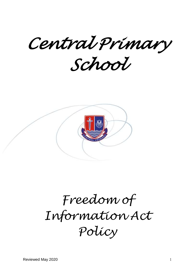*Central Primary School* 



# *Freedom of Information Act Policy*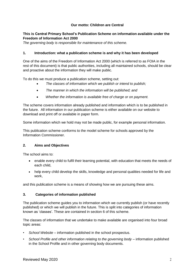# **Our motto: Children are Central**

# **This is Central Primary School's Publication Scheme on information available under the Freedom of Information Act 2000**

*The governing body is responsible for maintenance of this scheme.*

# **1. Introduction: what a publication scheme is and why it has been developed**

One of the aims of the Freedom of Information Act 2000 (which is referred to as FOIA in the rest of this document) is that public authorities, including all maintained schools, should be clear and proactive about the information they will make public.

To do this we must produce a publication scheme, setting out:

- *The classes of information which we publish or intend to publish;*
- *The manner in which the information will be published; and*
- *Whether the information is available free of charge or on payment.*

The scheme covers information already published and information which is to be published in the future. All information in our publication scheme is either available on our website to download and print off or available in paper form.

Some information which we hold may not be made public, for example personal information.

This publication scheme conforms to the model scheme for schools approved by the Information Commissioner.

# **2. Aims and Objectives**

The school aims to:

- enable every child to fulfil their learning potential, with education that meets the needs of each child,
- help every child develop the skills, knowledge and personal qualities needed for life and work,

and this publication scheme is a means of showing how we are pursuing these aims.

# **3. Categories of information published**

The publication scheme guides you to information which we currently publish (or have recently published) or which we will publish in the future. This is split into categories of information known as 'classes'. These are contained in section 6 of this scheme.

The classes of information that we undertake to make available are organised into four broad topic areas:

- *School Website* information published in the school prospectus.
- *School Profile and other information relating to the governing body* information published in the School Profile and in other governing body documents.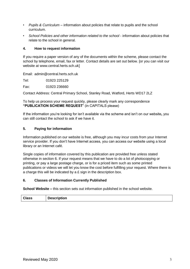- *Pupils & Curriculum* information about policies that relate to pupils and the school curriculum.
- *School Policies and other information related to the school* information about policies that relate to the school in general.

## **4. How to request information**

If you require a paper version of any of the documents within the scheme, please contact the school by telephone, email, fax or letter. Contact details are set out below. [or you can visit our website at www.central.herts.sch.uk]

Email: admin@central.herts.sch.uk

Tel: 01923 225129

Fax: 01923 236660

Contact Address: Central Primary School, Stanley Road, Watford, Herts WD17 2LZ

To help us process your request quickly, please clearly mark any correspondence **"PUBLICATION SCHEME REQUEST**" (in CAPITALS please)

If the information you're looking for isn't available via the scheme and isn't on our website**,** you can still contact the school to ask if we have it.

## **5. Paying for information**

Information published on our website is free, although you may incur costs from your Internet service provider. If you don't have Internet access, you can access our website using a local library or an Internet café.

Single copies of information covered by this publication are provided free unless stated otherwise in section 6. If your request means that we have to do a lot of photocopying or printing, or pay a large postage charge, or is for a priced item such as some printed publications or videos we will let you know the cost before fulfilling your request. Where there is a charge this will be indicated by a £ sign in the description box.

## **6. Classes of Information Currently Published**

**School Website** – this section sets out information published in the school website.

| <b>Class</b> | <b>Description</b> |
|--------------|--------------------|
|--------------|--------------------|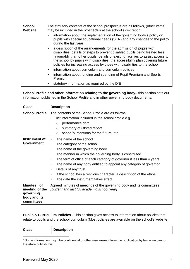| <b>School</b><br><b>Website</b> | The statutory contents of the school prospectus are as follows, (other items<br>may be included in the prospectus at the school's discretion):                                                                                                                                                                                                                                                                   |
|---------------------------------|------------------------------------------------------------------------------------------------------------------------------------------------------------------------------------------------------------------------------------------------------------------------------------------------------------------------------------------------------------------------------------------------------------------|
|                                 | information about the implementation of the governing body's policy on<br>pupils with special educational needs (SEN) and any changes to the policy<br>during the last year                                                                                                                                                                                                                                      |
|                                 | a description of the arrangements for the admission of pupils with<br>$\bullet$<br>disabilities; details of steps to prevent disabled pupils being treated less<br>favourably than other pupils; details of existing facilities to assist access to<br>the school by pupils with disabilities; the accessibility plan covering future<br>policies for increasing access by those with disabilities to the school |
|                                 | information about curriculum and curriculum policies<br>٠                                                                                                                                                                                                                                                                                                                                                        |
|                                 | information about funding and spending of Pupil Premium and Sports<br>٠<br>Premium                                                                                                                                                                                                                                                                                                                               |
|                                 | statutory information as required by the DfE<br>٠                                                                                                                                                                                                                                                                                                                                                                |

**School Profile and other information relating to the governing body–** this section sets out information published in the School Profile and in other governing body documents.

| <b>Class</b>                                                              | <b>Description</b>                                                                                                  |  |
|---------------------------------------------------------------------------|---------------------------------------------------------------------------------------------------------------------|--|
| <b>School Profile</b>                                                     | The contents of the School Profile are as follows:                                                                  |  |
|                                                                           | list information included in the school profile e.g.<br>$\bullet$                                                   |  |
|                                                                           | performance data<br>$\circ$                                                                                         |  |
|                                                                           | summary of Ofsted report<br>$\circ$                                                                                 |  |
|                                                                           | school's intentions for the future, etc.<br>$\circ$                                                                 |  |
| Instrument of<br><b>Government</b>                                        | The name of the school<br>$\bullet$                                                                                 |  |
|                                                                           | The category of the school<br>$\bullet$                                                                             |  |
|                                                                           | The name of the governing body<br>$\bullet$                                                                         |  |
|                                                                           | The manner in which the governing body is constituted<br>$\bullet$                                                  |  |
|                                                                           | The term of office of each category of governor if less than 4 years<br>٠                                           |  |
|                                                                           | The name of any body entitled to appoint any category of governor<br>٠                                              |  |
|                                                                           | Details of any trust<br>$\bullet$                                                                                   |  |
|                                                                           | If the school has a religious character, a description of the ethos<br>$\bullet$                                    |  |
|                                                                           | The date the instrument takes effect                                                                                |  |
| Minutes 1 of<br>meeting of the<br>governing<br>body and its<br>committees | Agreed minutes of meetings of the governing body and its committees<br>[current and last full academic school year] |  |

**Pupils & Curriculum Policies -** This section gives access to information about policies that relate to pupils and the school curriculum (Most policies are available on the school's website)

| <b>Class</b> | <b>Description</b> |
|--------------|--------------------|
|              |                    |

 $1$  Some information might be confidential or otherwise exempt from the publication by law – we cannot therefore publish this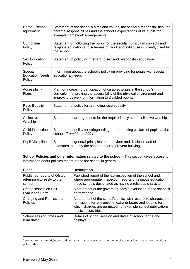| Home – school<br>agreement                  | Statement of the school's aims and values, the school's responsibilities, the<br>parental responsibilities and the school's expectations of its pupils for<br>example homework arrangements              |
|---------------------------------------------|----------------------------------------------------------------------------------------------------------------------------------------------------------------------------------------------------------|
| Curriculum<br>Policy                        | Statement on following the policy for the secular curriculum subjects and<br>religious education and schemes of work and syllabuses currently used by<br>the school                                      |
| <b>Sex Education</b><br>Policy              | Statement of policy with regard to sex and relationship education                                                                                                                                        |
| Special<br><b>Education Needs</b><br>Policy | Information about the school's policy on providing for pupils with special<br>educational needs                                                                                                          |
| Accessibility<br>Plans                      | Plan for increasing participation of disabled pupils in the school's<br>curriculum, improving the accessibility of the physical environment and<br>improving delivery of information to disabled pupils. |
| Race Equality<br>Policy                     | Statement of policy for promoting race equality                                                                                                                                                          |
| Collective<br>Worship                       | Statement of arrangements for the required daily act of collective worship                                                                                                                               |
| <b>Child Protection</b><br>Policy           | Statement of policy for safeguarding and promoting welfare of pupils at the<br>school. (from March 2004)                                                                                                 |
| <b>Pupil Discipline</b>                     | Statement of general principles on behaviour and discipline and of<br>measures taken by the head teacher to prevent bullying.                                                                            |

**School Policies and other information related to the school -** This section gives access to information about policies that relate to the school in general.

| <b>Class</b>                                      | <b>Description</b>                                                                                                                                                                                                    |  |
|---------------------------------------------------|-----------------------------------------------------------------------------------------------------------------------------------------------------------------------------------------------------------------------|--|
| Published reports of Ofsted                       | Published report of the last inspection of the school and,                                                                                                                                                            |  |
| referring expressly to the                        | where appropriate, inspection reports of religious education in                                                                                                                                                       |  |
| school                                            | those schools designated as having a religious character                                                                                                                                                              |  |
| <b>Ofsted inspection Self-</b>                    | A statement of the governing body's evaluation of the school's                                                                                                                                                        |  |
| Evaluation Form <sup>1</sup>                      | performance.                                                                                                                                                                                                          |  |
| <b>Charging and Remissions</b><br><b>Policies</b> | A statement of the school's policy with respect to charges and<br>remissions for any optional extra or board and lodging for<br>which charges are permitted, for example school publications,<br>music tuition, trips |  |
| School session times and                          | Details of school session and dates of school terms and                                                                                                                                                               |  |
| term dates                                        | holidays                                                                                                                                                                                                              |  |

 1 Some information might be confidential or otherwise exempt from the publication by law – we cannot therefore publish this